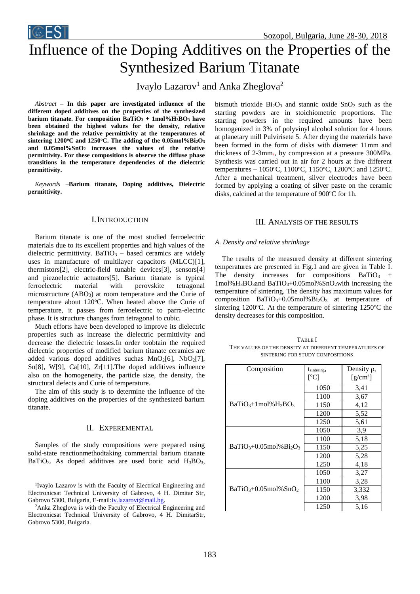

# Influence of the Doping Additives on the Properties of the Synthesized Barium Titanate

Ivaylo Lazarov<sup>1</sup> and Anka Zheglova<sup>2</sup>

*Abstract –* **In this paper are investigated influence of the different doped additives on the properties of the synthesized barium titanate. For composition BaTiO<sup>3</sup> + 1mol%H3BO<sup>3</sup> have been obtained the highest values for the density, relative shrinkage and the relative permittivity at the temperatures of**  sintering  $1200^{\circ}$ C and  $1250^{\circ}$ C. The adding of the  $0.05$ mol%Bi<sub>2</sub>O<sub>3</sub> **and 0.05mol%SnO<sup>2</sup> increases the values of the relative permittivity. For these compositions is observe the diffuse phase transitions in the temperature dependencies of the dielectric permittivity.**

*Keywords –***Barium titanate, Doping additives, Dielectric permittivity.**

## I.INTRODUCTION

Barium titanate is one of the most studied ferroelectric materials due to its excellent properties and high values of the dielectric permittivity. BaTiO<sub>3</sub> – based ceramics are widely uses in manufacture of multilayer capacitors (MLCC)[1], thermistors[2], electric-field tunable devices[3], sensors[4] and piezoelectric actuators[5]. Barium titanate is typical ferroelectric material with perovskite tetragonal microstructure (ABO<sub>3</sub>) at room temperature and the Curie of temperature about 120°C. When heated above the Curie of temperature, it passes from ferroelectric to parra-electric phase. It is structure changes from tetragonal to cubic.

Much efforts have been developed to improve its dielectric properties such as increase the dielectric permittivity and decrease the dielectric losses.In order toobtain the required dielectric properties of modified barium titanate ceramics are added various doped additives suchas  $MnO<sub>2</sub>[6]$ ,  $NbO<sub>2</sub>[7]$ , Sn[8], W[9], Ca[10], Zr[11].The doped additives influence also on the homogeneity, the particle size, the density, the structural defects and Curie of temperature.

The aim of this study is to determine the influence of the doping additives on the properties of the synthesized barium titanate.

# II. EXPEREMENTAL

Samples of the study compositions were prepared using solid-state reactionmethodtaking commercial barium titanate BaTiO<sub>3</sub>. As doped additives are used boric acid  $H_3BO_3$ , bismuth trioxide  $Bi<sub>2</sub>O<sub>3</sub>$  and stannic oxide  $SnO<sub>2</sub>$  such as the starting powders are in stoichiometric proportions. The starting powders in the required amounts have been homogenized in 3% of polyvinyl alcohol solution for 4 hours at planetary mill Pulvirisete 5. After drying the materials have been formed in the form of disks with diameter 11mm and thickness of 2-3mm., by compression at a pressure 300MPa. Synthesis was carried out in air for 2 hours at five different temperatures - 1050°C, 1100°C, 1150°C, 1200°C and 1250°C. After a mechanical treatment, silver electrodes have been formed by applying a coating of silver paste on the ceramic disks, calcined at the temperature of  $900^{\circ}$ C for 1h.

# III. ANALYSIS OF THE RESULTS

## *A. Density and relative shrinkage*

The results of the measured density at different sintering temperatures are presented in Fig.1 and are given in Table I. The density increases for compositions  $BaTiO<sub>3</sub>$  +  $1 \text{mol}$ % $H_3BO_3$  and  $BaTiO_3+0.05 \text{mol}$ % $SnO_2$  with increasing the temperature of sintering. The density has maximum values for composition  $BaTiO<sub>3</sub>+0.05 mol\% Bi<sub>2</sub>O<sub>3</sub>$  at temperature of sintering 1200 $\degree$ C. At the temperature of sintering 1250 $\degree$ C the density decreases for this composition.

TABLE I THE VALUES OF THE DENSITY AT DIFFERENT TEMPERATURES OF SINTERING FOR STUDY COMPOSITIONS

| Composition              | tsintering,<br>$\rm [°CI]$ | Density $\rho$ ,<br>$[g/cm^3]$ |
|--------------------------|----------------------------|--------------------------------|
| $BaTiO3+1mol%H3BO3$      | 1050                       | 3,41                           |
|                          | 1100                       | 3,67                           |
|                          | 1150                       | 4,12                           |
|                          | 1200                       | 5,52                           |
|                          | 1250                       | 5,61                           |
| $BaTiO3+0.05 mol% Bi2O3$ | 1050                       | 3,9                            |
|                          | 1100                       | 5,18                           |
|                          | 1150                       | 5,25                           |
|                          | 1200                       | 5,28                           |
|                          | 1250                       | 4,18                           |
| $BaTiO3+0.05 mol% SnO2$  | 1050                       | 3,27                           |
|                          | 1100                       | 3,28                           |
|                          | 1150                       | 3,332                          |
|                          | 1200                       | 3,98                           |
|                          | 1250                       | 5,16                           |

<sup>&</sup>lt;sup>1</sup>Ivaylo Lazarov is with the Faculty of Electrical Engineering and Electronicsat Technical University of Gabrovo, 4 H. Dimitar Str, Gabrovo 5300, Bulgaria, E-mail[:iv.lazarovt@mail.bg.](mailto:iv.lazarovt@mail.bg)

<sup>&</sup>lt;sup>2</sup>Anka Zheglova is with the Faculty of Electrical Engineering and Electronicsat Technical University of Gabrovo, 4 H. DimitarStr, Gabrovo 5300, Bulgaria.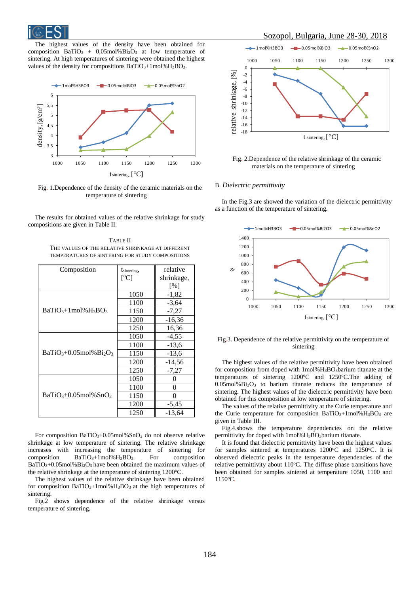

The highest values of the density have been obtained for composition  $BaTiO<sub>3</sub> + 0.05$ mol% $Bi<sub>2</sub>O<sub>3</sub>$  at low temperature of sintering. At high temperatures of sintering were obtained the highest values of the density for compositions BaTiO<sub>3</sub>+1mol%H<sub>3</sub>BO<sub>3</sub>.



Fig. 1.Dependence of the density of the ceramic materials on the temperature of sintering

The results for obtained values of the relative shrinkage for study compositions are given in Table II.

TABLE II THE VALUES OF THE RELATIVE SHRINKAGE AT DIFFERENT TEMPERATURES OF SINTERING FOR STUDY COMPOSITIONS

| Composition              | tsintering, | relative   |
|--------------------------|-------------|------------|
|                          | [°C]        | shrinkage, |
|                          |             | [%]        |
| $BaTiO3+1mol%H3BO3$      | 1050        | $-1,82$    |
|                          | 1100        | $-3,64$    |
|                          | 1150        | $-7,27$    |
|                          | 1200        | $-16,36$   |
|                          | 1250        | 16,36      |
| $BaTiO3+0.05 mol% Bi2O3$ | 1050        | $-4,55$    |
|                          | 1100        | $-13,6$    |
|                          | 1150        | $-13,6$    |
|                          | 1200        | $-14,56$   |
|                          | 1250        | $-7,27$    |
| $BaTiO3+0.05 mol\% SnO2$ | 1050        | 0          |
|                          | 1100        | 0          |
|                          | 1150        | 0          |
|                          | 1200        | $-5,45$    |
|                          | 1250        | $-13,64$   |

For composition BaTiO3+0.05mol%SnO<sup>2</sup> do not observe relative shrinkage at low temperature of sintering. The relative shrinkage increases with increasing the temperature of sintering for composition  $BaTiO<sub>3</sub>+1 mol\%H<sub>3</sub>BO<sub>3</sub>$ . For composition BaTiO3+0.05mol%Bi2O<sup>3</sup> have been obtained the maximum values of the relative shrinkage at the temperature of sintering  $1200^{\circ}$ C.

The highest values of the relative shrinkage have been obtained for composition BaTiO3+1mol%H3BO<sup>3</sup> at the high temperatures of sintering.

Fig.2 shows dependence of the relative shrinkage versus temperature of sintering.



Fig. 2.Dependence of the relative shrinkage of the ceramic materials on the temperature of sintering

#### B. *Dielectric permittivity*

In the Fig.3 are showed the variation of the dielectric permittivity as a function of the temperature of sintering.



### Fig.3. Dependence of the relative permittivity on the temperature of sintering

The highest values of the relative permittivity have been obtained for composition from doped with 1mol%H<sub>3</sub>BO<sub>3</sub>barium titanate at the temperatures of sintering 1200°C and 1250°C. The adding of  $0.05$ mol% $Bi<sub>2</sub>O<sub>3</sub>$  to barium titanate reduces the temperature of sintering. The highest values of the dielectric permittivity have been obtained for this composition at low temperature of sintering.

The values of the relative permittivity at the Curie temperature and the Curie temperature for composition  $BaTiO<sub>3</sub>+1mol%H<sub>3</sub>BO<sub>3</sub>$  are given in Table III.

Fig.4.shows the temperature dependencies on the relative permittivity for doped with 1mol%H<sub>3</sub>BO<sub>3</sub>barium titanate.

It is found that dielectric permittivity have been the highest values for samples sintered at temperatures  $1200^{\circ}$ C and  $1250^{\circ}$ C. It is observed dielectric peaks in the temperature dependencies of the relative permittivity about  $110^{\circ}$ C. The diffuse phase transitions have been obtained for samples sintered at temperature 1050, 1100 and 1150<sup>o</sup>C.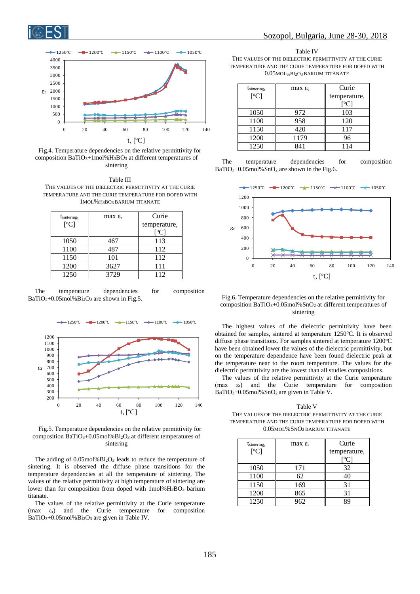



Fig.4. Temperature dependencies on the relative permittivity for composition BaTiO3+1mol%H3BO<sup>3</sup> at different temperatures of sintering

Table III THE VALUES OF THE DIELECTRIC PERMITTIVITY AT THE CURIE TEMPERATURE AND THE CURIE TEMPERATURE FOR DOPED WITH 1MOL%H3BO<sup>3</sup> BARIUM TITANATE

| tsintering,<br>[°C] | max $\varepsilon_r$ | Curie<br>temperature,<br>[°C] |
|---------------------|---------------------|-------------------------------|
| 1050                | 467                 | 113                           |
| 1100                | 487                 | 112                           |
| 1150                | 101                 | 112                           |
| 1200                | 3627                | 111                           |
| 1250                | 3729                | 112                           |

The temperature dependencies for composition BaTiO<sub>3</sub>+0.05mol%Bi<sub>2</sub>O<sub>3</sub> are shown in Fig.5.



Fig.5. Temperature dependencies on the relative permittivity for composition BaTiO3+0.05mol%Bi2O<sup>3</sup> at different temperatures of sintering

The adding of 0.05mol%Bi2O<sup>3</sup> leads to reduce the temperature of sintering. It is observed the diffuse phase transitions for the temperature dependencies at all the temperature of sintering. The values of the relative permittivity at high temperature of sintering are lower than for composition from doped with 1mol%H<sub>3</sub>BO<sub>3</sub> barium titanate.

The values of the relative permittivity at the Curie temperature  $(max \varepsilon_r)$  and the Curie temperature for composition BaTiO3+0.05mol%Bi2O<sup>3</sup> are given in Table IV.

Table IV THE VALUES OF THE DIELECTRIC PERMITTIVITY AT THE CURIE TEMPERATURE AND THE CURIE TEMPERATURE FOR DOPED WITH 0.05MOL%BI2O<sup>3</sup> BARIUM TITANATE

| $t_{\text{sintering}}$ , | max $\varepsilon_{r}$ | Curie        |
|--------------------------|-----------------------|--------------|
| [°C]                     |                       | temperature, |
|                          |                       | [°C]         |
| 1050                     | 972                   | 103          |
| 1100                     | 958                   | 120          |
| 1150                     | 420                   | 117          |
| 1200                     | 1179                  | 96           |
| 1250                     | 841                   | 114          |

The temperature dependencies for composition BaTiO3+0.05mol%SnO<sup>2</sup> are shown in the Fig.6.



## Fig.6. Temperature dependencies on the relative permittivity for composition BaTiO3+0.05mol%SnO<sup>2</sup> at different temperatures of sintering

The highest values of the dielectric permittivity have been obtained for samples, sintered at temperature 1250°C. It is observed diffuse phase transitions. For samples sintered at temperature 1200°C have been obtained lower the values of the dielectric permittivity, but on the temperature dependence have been found dielectric peak at the temperature near to the room temperature. The values for the dielectric permittivity are the lowest than all studies compositions.

The values of the relative permittivity at the Curie temperature  $(max \varepsilon_r)$  and the Curie temperature for composition BaTiO3+0.05mol%SnO<sup>2</sup> are given in Table V.

Table V THE VALUES OF THE DIELECTRIC PERMITTIVITY AT THE CURIE TEMPERATURE AND THE CURIE TEMPERATURE FOR DOPED WITH 0.05MOL%SNO<sup>2</sup> BARIUM TITANATE

| tsintering, | max $\varepsilon_r$ | Curie        |
|-------------|---------------------|--------------|
| [°C]        |                     | temperature, |
|             |                     | [°C]         |
| 1050        | 171                 | 32           |
| 1100        | 62                  | 40           |
| 1150        | 169                 | 31           |
| 1200        | 865                 | 31           |
| 1250        | 962                 |              |